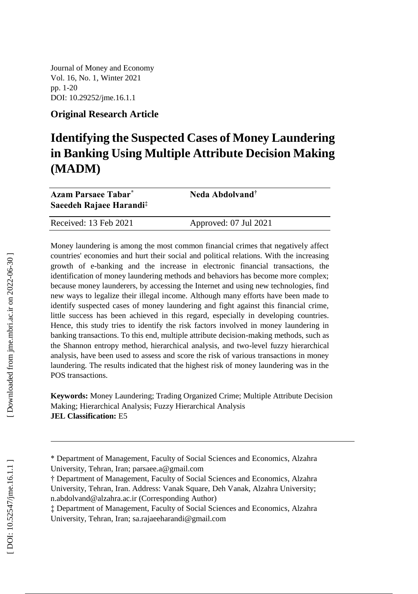Journal of Money and Economy Vol. 16, No. 1, Winter 2021 pp. 1-20 DOI: 10.29252/jme.16.1.1

#### **Original Research Article**

# **Identifying the Suspected Cases of Money Laundering in Banking Using Multiple Attribute Decision Making (MADM)**

| <b>Azam Parsaee Tabar<sup>*</sup></b><br>Saeedeh Rajaee Harandi <sup>‡</sup> | Neda Abdolvand <sup>†</sup> |  |
|------------------------------------------------------------------------------|-----------------------------|--|
| Received: 13 Feb 2021                                                        | Approved: 07 Jul 2021       |  |

Money laundering is among the most common financial crimes that negatively affect countries' economies and hurt their social and political relations. With the increasing growth of e -banking and the increase in electronic financial transactions, the identification of money laundering methods and behaviors has become more complex; because money launderers, by accessing the Internet and using new technologies, find new ways to legalize their illegal income. Although many efforts have been made to identify suspected cases of money laundering and fight against this financial crime, little success has been achieved in this regard, especially in developing countries. Hence, this study tries to identify the risk factors involved in money laundering in banking transactions. To this end, multiple attribute decision -making methods, such as the Shannon entropy method, hierarchical analysis, and two -level fuzzy hierarchical analysis, have been used to assess and score the risk of various transactions in money laundering. The results indicated that the highest risk of money laundering was in the POS transactions.

**Keywords:** Money Laundering; Trading Organized Crime; Multiple Attribute Decision Making; Hierarchical Analysis; Fuzzy Hierarchical Analysis **JEL Classification:** E5

 $\overline{a}$ 

<sup>\*</sup> Department of Management, Faculty of Social Sciences and Economics, Alzahra University, Tehran, Iran; parsaee.a@gmail.com

<sup>†</sup> Department of Management, Faculty of Social Sciences and Economics, Alzahra University, Tehran, Iran. Address: Vanak Square, Deh Vanak, Alzahra University; n.abdolvand@alzahra.ac.ir (Corresponding Author)

<sup>‡</sup> Department of Management, Faculty of Social Sciences and Economics, Alzahra University, Tehran, Iran ; sa.rajaeeharandi@gmail.com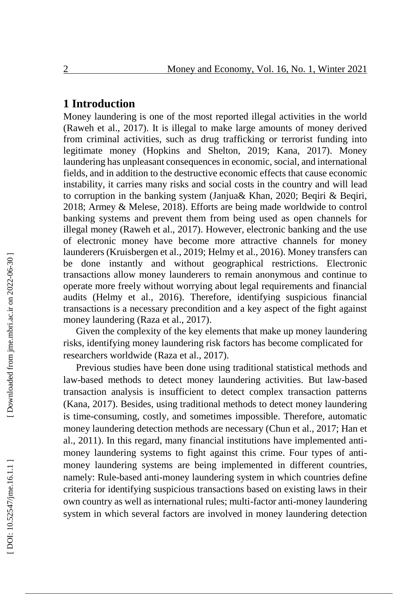# **1 Introduction**

Money laundering is one of the most reported illegal activities in the world (Raweh et al., 2017). It is illegal to make large amounts of money derived from criminal activities, such as drug trafficking or terrorist funding into legitimate money (Hopkins and Shelton, 2019; Kana, 2017). Money laundering has unpleasant consequences in economic, social, and international fields, and in addition to the destructive economic effects that cause economic instability, it carries many risks and social costs in the country and will lead to corruption in the banking system (Janjua& Khan, 2020; Beqiri & Beqiri, 2018; Armey & Melese, 2018). Efforts are being made worldwide to control banking systems and prevent them from being used as open channels for illegal money (Raweh et al., 2017). However, electronic banking and the use of electronic money have become more attractive channels for money launderers (Kruisbergen et al., 2019; Helmy et al., 2016). Money transfers can be done instantly and without geographical restrictions. Electronic transactions allow money launderers to remain anonymous and continue to operate more freely without worrying about legal requirements and financial audits (Helmy et al., 2016). Therefore, identifying suspicious financial transactions is a necessary precondition and a key aspect of the fight against money laundering (Raza et al., 2017).

Given the complexity of the key elements that make up money laundering risks, identifying money laundering risk factors has become complicated for researchers worldwide (Raza et al., 2017).

Previous studies have been done using traditional statistical methods and law -based methods to detect money laundering activities. But law -based transaction analysis is insufficient to detect complex transaction patterns (Kana, 2017). Besides, using traditional methods to detect money laundering is time -consuming, costly, and sometimes impossible. Therefore, automatic money laundering detection methods are necessary (Chun et al., 2017; Han et al., 2011). In this regard, many financial institutions have implemented anti money laundering systems to fight against this crime. Four types of anti money laundering systems are being implemented in different countries, namely: Rule -based anti -money laundering system in which countries define criteria for identifying suspicious transactions based on existing laws in their own country as well as international rules; multi -factor anti -money laundering system in which several factors are involved in money laundering detection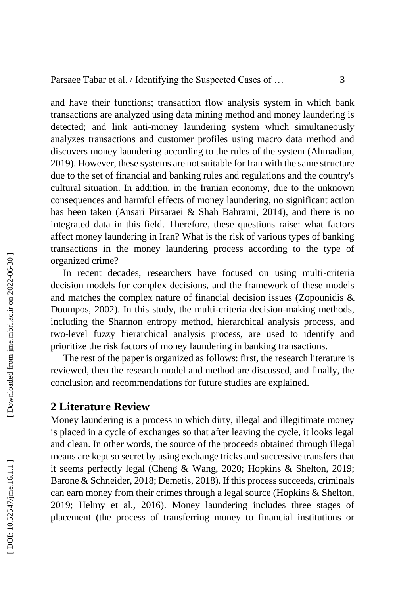and have their functions; transaction flow analysis system in which bank transactions are analyzed using data mining method and money laundering is detected; and link anti -money laundering system which simultaneously analyzes transactions and customer profiles using macro data method and discovers money laundering according to the rules of the system (Ahmadian, 2019). However, these systems are not suitable for Iran with the same structure due to the set of financial and banking rules and regulations and the country's cultural situation. In addition, in the Iranian economy, due to the unknown consequences and harmful effects of money laundering, no significant action has been taken (Ansari Pirsaraei & Shah Bahrami, 2014), and there is no integrated data in this field. Therefore, these questions raise: what factors affect money laundering in Iran? What is the risk of various types of banking transactions in the money laundering process according to the type of organized crime?

In recent decades, researchers have focused on using multi -criteria decision models for complex decisions, and the framework of these models and matches the complex nature of financial decision issues (Zopounidis & Doumpos, 2002). In this study, the multi -criteria decision -making methods, including the Shannon entropy method, hierarchical analysis process, and two -level fuzzy hierarchical analysis process, are used to identify and prioritize the risk factors of money laundering in banking transactions.

The rest of the paper is organized as follows: first, the research literature is reviewed, then the research model and method are discussed, and finally, the conclusion and recommendations for future studies are explained.

### **2 Literature Review**

Money laundering is a process in which dirty, illegal and illegitimate money is placed in a cycle of exchanges so that after leaving the cycle, it looks legal and clean. In other words, the source of the proceeds obtained through illegal means are kept so secret by using exchange tricks and successive transfers that it seems perfectly legal (Cheng & Wang, 2020; Hopkins & Shelton, 2019; Barone & Schneider, 2018; Demetis, 2018). If this process succeeds, criminals can earn money from their crimes through a legal source (Hopkins & Shelton, 2019; Helmy et al., 2016). Money laundering includes three stages of placement (the process of transferring money to financial institutions or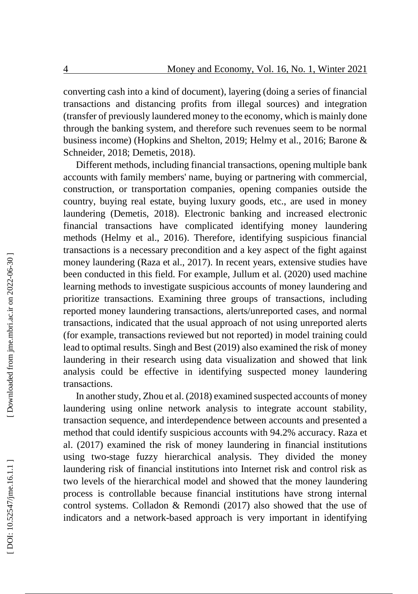converting cash into a kind of document), layering (doing a series of financial transactions and distancing profits from illegal sources) and integration (transfer of previously laundered money to the economy, which is mainly done through the banking system, and therefore such revenues seem to be normal business income) (Hopkins and Shelton, 2019; Helm y et al., 2016; Baron e & Schneider, 2018; Demetis, 2018).

Different methods, including financial transactions, opening multiple bank accounts with family members' name, buying or partnering with commercial, construction, or transportation companies, opening companies outside the country, buying real estate, buying luxury goods, etc., are used in money laundering (Demetis, 2018). Electronic banking and increased electronic financial transactions have complicated identifying money laundering methods (Helmy et al., 2016). Therefore, identifying suspicious financial transactions is a necessary precondition and a key aspect of the fight against money laundering (Raza et al., 2017). In recent years, extensive studies have been conducted in this field. For example, Jullum et al. (2020) used machine learning methods to investigate suspicious accounts of money laundering and prioritize transactions. Examining three groups of transactions, including reported money laundering transactions, alerts/unreported cases, and normal transactions, indicated that the usual approach of not using unreported alerts (for example, transactions reviewed but not reported) in model training could lead to optimal results. Singh and Best (2019) also examined the risk of money laundering in their research using data visualization and showed that link analysis could be effective in identifying suspected money laundering transactions.

In another study, Zhou et al. (2018) examined suspected accounts of money laundering using online network analysis to integrate account stability, transaction sequence, and interdependence between accounts and presented a method that could identify suspicious accounts with 94.2% accuracy. Raza et al. (2017) examined the risk of money laundering in financial institutions using two -stage fuzzy hierarchical analysis. They divided the money laundering risk of financial institutions into Internet risk and control risk as two levels of the hierarchical model and showed that the money laundering process is controllable because financial institutions have strong internal control systems. Colladon & Remondi (2017) also showed that the use of indicators and a network -based approach is very important in identifying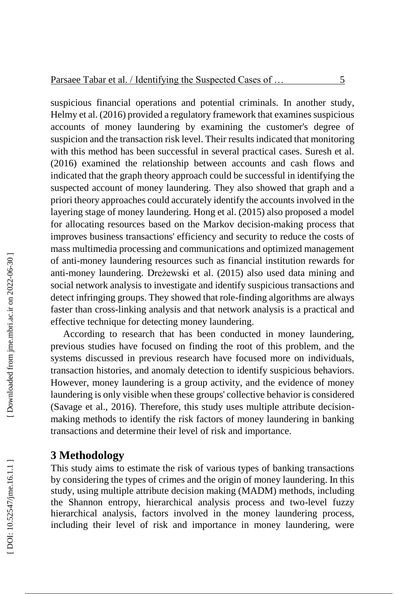suspicious financial operations and potential criminals. In another study, Helmy et al. (2016) provided a regulatory framework that examines suspicious accounts of money laundering by examining the customer's degree of suspicion and the transaction risk level. Their results indicated that monitoring with this method has been successful in several practical cases. Suresh et al. (2016) examined the relationship between accounts and cash flows and indicated that the graph theory approach could be successful in identifying the suspected account of money laundering. They also showed that graph and a priori theory approaches could accurately identify the accounts involved in the layering stage of money laundering. Hong et al. (2015) also proposed a model for allocating resources based on the Markov decision -making process that improves business transactions' efficiency and security to reduce the costs of mass multimedia processing and communications and optimized management of anti -money laundering resources such as financial institution rewards for anti -money laundering. Dreżewski et al. (2015) also used data mining and social network analysis to investigate and identify suspicious transactions and detect infringing groups. They showed that role -finding algorithms are always faster than cross -linking analysis and that network analysis is a practical and effective technique for detecting money laundering .

According to research that has been conducted in money laundering, previous studies have focused on finding the root of this problem, and the systems discussed in previous research have focused more on individuals, transaction histories, and anomaly detection to identify suspicious behaviors. However, money laundering is a group activity, and the evidence of money laundering is only visible when these groups' collective behavior is considered (Savage et al., 2016). Therefore, this study uses multiple attribute decisionmaking methods to identify the risk factors of money laundering in banking transactions and determine their level of risk and importance.

# **3 Methodology**

This study aims to estimate the risk of various types of banking transactions by considering the types of crimes and the origin of money laundering. In this study, using multiple attribute decision making (MADM) methods, including the Shannon entropy, hierarchical analysis process and two -level fuzzy hierarchical analysis, factors involved in the money laundering process, including their level of risk and importance in money laundering, were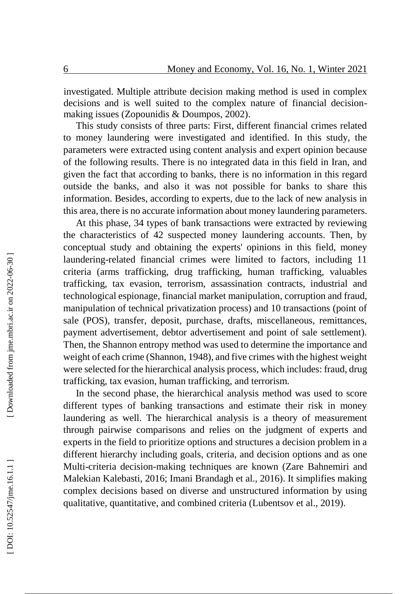investigated. Multiple attribute decision making method is used in complex decisions and is well suited to the complex nature of financial decision making issues (Zopounidis & Doumpos, 2002).

This study consists of three parts: First, different financial crimes related to money laundering were investigated and identified. In this study, the parameters were extracted using content analysis and expert opinion because of the following results. There is no integrated data in this field in Iran, and given the fact that according to banks, there is no information in this regard outside the banks, and also it was not possible for banks to share this information. Besides, according to experts, due to the lack of new analysis in this area, there is no accurate information about money laundering parameters.

At this phase, 34 types of bank transactions were extracted by reviewing the characteristics of 42 suspected money laundering accounts. Then, by conceptual study and obtaining the experts' opinions in this field, money laundering -related financial crimes were limited to factors, including 11 criteria (arms trafficking, drug trafficking, human trafficking, valuables trafficking, tax evasion, terrorism, assassination contracts, industrial and technological espionage, financial market manipulation, corruption and fraud, manipulation of technical privatization process) and 10 transactions (point of sale (POS), transfer, deposit, purchase, drafts, miscellaneous, remittances, payment advertisement, debtor advertisement and point of sale settlement). Then, the Shannon entropy method was used to determine the importance and weight of each crime (Shannon, 1948), and five crimes with the highest weight were selected for the hierarchical analysis process, which includes: fraud, drug trafficking, tax evasion, human trafficking, and terrorism.

In the second phase, the hierarchical analysis method was used to score different types of banking transactions and estimate their risk in money laundering as well. The hierarchical analysis is a theory of measurement through pairwise comparisons and relies on the judgment of experts and experts in the field to prioritize options and structures a decision problem in a different hierarchy including goals, criteria, and decision options and as one Multi -criteria decision -making techniques are known (Zare Bahnemiri and Malekian Kalebasti, 2016; Imani Brandagh et al., 2016). It simplifies making complex decisions based on diverse and unstructured information by using qualitative, quantitative, and combined criteria (Lubentsov et al., 2019).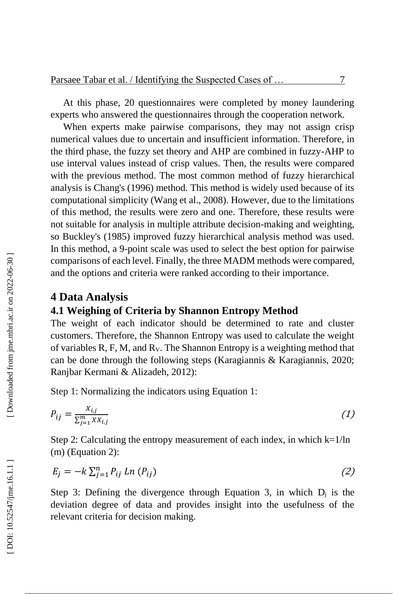At this phase, 20 questionnaires were completed by money laundering experts who answered the questionnaires through the cooperation network.

When experts make pairwise comparisons, they may not assign crisp numerical values due to uncertain and insufficient information. Therefore, in the third phase, the fuzzy set theory and AHP are combined in fuzzy -AHP to use interval values instead of crisp values. Then, the results were compared with the previous method. The most common method of fuzzy hierarchical analysis is Chang's (1996) method. This method is widely used because of its computational simplicity (Wang et al., 2008). However, due to the limitations of this method, the results were zero and one. Therefore, these results were not suitable for analysis in multiple attribute decision -making and weighting, so Buckley's (1985) improved fuzzy hierarchical analysis method was used. In this method, a 9 -point scale was used to select the best option for pairwise comparisons of each level. Finally, the three MADM methods were compared, and the options and criteria were ranked according to their importance.

# **4 Data Analysis**

### **4.1 Weighing of Criteria by Shannon Entropy Method**

The weight of each indicator should be determined to rate and cluster customers. Therefore, the Shannon Entropy was used to calculate the weight of variables R, F, M, and R <sup>V</sup>. The Shannon Entropy is a weighting method that can be done through the following steps (Karagiannis & Karagiannis, 2020; Ranjbar Kermani & Alizadeh, 2012):

Step 1: Normalizing the indicators using Equation 1:

$$
P_{ij} = \frac{X_{i,j}}{\sum_{j=1}^{m} XX_{i,j}}\tag{1}
$$

Step 2: Calculating the entropy measurement of each index, in which  $k=1/ln$ (m) (Equation 2):

$$
E_j = -k \sum_{j=1}^n P_{ij} \ln(P_{ij})
$$
 (2)

Step 3: Defining the divergence through Equation 3, in which  $D_j$  is the deviation degree of data and provides insight into the usefulness of the relevant criteria for decision making.

7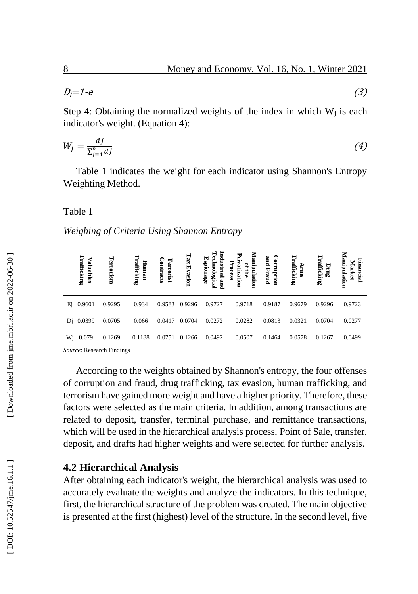$$
D_j = 1 - e \tag{3}
$$

Step 4: Obtaining the normalized weights of the index in which  $W_i$  is each indicator's weight. (Equation 4):

$$
W_j = \frac{dj}{\sum_{j=1}^n dj} \tag{4}
$$

Table 1 indicates the weight for each indicator using Shannon's Entropy Weighting Method.

#### Table 1

*Weighing of Criteria Using Shannon Entropy*

| Trafficking<br>≺<br>aluables | Terrorism                        | Trafficking<br>Human | Terrorist<br>Contracts | Tax<br>Evasion | Industrial<br>Technologica<br>Espionage<br>pue | Manipulation<br>Ņ<br>Process<br>vatization<br>2,<br>Ę | Corr<br>and Fraud<br>uopton | Trafficking<br>Ē | Trafficking<br>Drug | Manipulation<br>Financial<br>Market |
|------------------------------|----------------------------------|----------------------|------------------------|----------------|------------------------------------------------|-------------------------------------------------------|-----------------------------|------------------|---------------------|-------------------------------------|
| Ei<br>0.9601                 | 0.9295                           | 0.934                | 0.9583                 | 0.9296         | 0.9727                                         | 0.9718                                                | 0.9187                      | 0.9679           | 0.9296              | 0.9723                              |
| 0.0399<br>Di                 | 0.0705                           | 0.066                | 0.0417                 | 0.0704         | 0.0272                                         | 0.0282                                                | 0.0813                      | 0.0321           | 0.0704              | 0.0277                              |
| Wi 0.079                     | 0.1269<br>$\alpha$ n in $\alpha$ | 0.1188               | 0.0751                 | 0.1266         | 0.0492                                         | 0.0507                                                | 0.1464                      | 0.0578           | 0.1267              | 0.0499                              |

*Source*: Research Findings

According to the weights obtained by Shannon's entropy, the four offenses of corruption and fraud, drug trafficking, tax evasion, human trafficking, and terrorism have gained more weight and have a higher priority. Therefore, these factors were selected as the main criteria. In addition, among transactions are related to deposit, transfer, terminal purchase, and remittance transactions, which will be used in the hierarchical analysis process, Point of Sale, transfer, deposit, and drafts had higher weights and were selected for further analysis.

#### **4.2 Hierarchical Analysis**

After obtaining each indicator's weight, the hierarchical analysis was used to accurately evaluate the weights and analyze the indicators. In this technique, first, the hierarchical structure of the problem was created. The main objective is presented at the first (highest) level of the structure. In the second level, five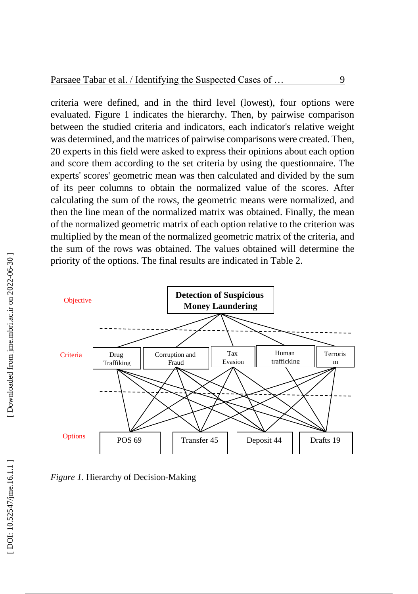criteria were defined, and in the third level (lowest), four options were evaluated. Figure 1 indicates the hierarchy. Then, by pairwise comparison between the studied criteria and indicators, each indicator's relative weight was determined, and the matrices of pairwise comparisons were created. Then, 20 experts in this field were asked to express their opinions about each option and score them according to the set criteria by using the questionnaire. The experts' scores' geometric mean was then calculated and divided by the sum of its peer columns to obtain the normalized value of the scores. After calculating the sum of the rows, the geometric means were normalized, and then the line mean of the normalized matrix was obtained. Finally, the mean of the normalized geometric matrix of each option relative to the criterion was multiplied by the mean of the normalized geometric matrix of the criteria, and the sum of the rows was obtained. The values obtained will determine the priority of the options. The final results are indicated in Table 2.



*Figure 1* . Hierarchy of Decision -Making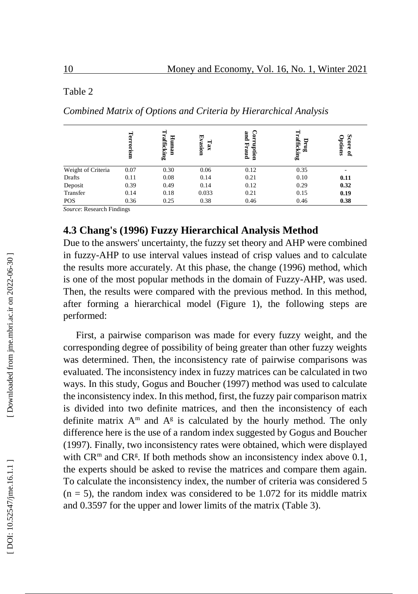|                              | Terrorism | Trafficking<br>Human | Evasion<br>Tax | Corr<br>pue<br>Fraud<br>uopdn. | ۳<br>rafficking<br>晶 | <b>Score</b><br>Options<br>್ಲಿ |
|------------------------------|-----------|----------------------|----------------|--------------------------------|----------------------|--------------------------------|
| Weight of Criteria           | 0.07      | 0.30                 | 0.06           | 0.12                           | 0.35                 | ۰                              |
| Drafts                       | 0.11      | 0.08                 | 0.14           | 0.21                           | 0.10                 | 0.11                           |
| Deposit                      | 0.39      | 0.49                 | 0.14           | 0.12                           | 0.29                 | 0.32                           |
| Transfer                     | 0.14      | 0.18                 | 0.033          | 0.21                           | 0.15                 | 0.19                           |
| POS<br>$\sim$ $ \sim$ $\sim$ | 0.36      | 0.25                 | 0.38           | 0.46                           | 0.46                 | 0.38                           |

*Combined Matrix of Options and Criteria by Hierarchical Analysis*

*Source*: Research Findings

#### **4.3 Chang's (1996) Fuzzy Hierarchical Analysis Method**

Due to the answers' uncertainty, the fuzzy set theory and AHP were combined in fuzzy -AHP to use interval values instead of crisp values and to calculate the results more accurately. At this phase, the change (1996) method, which is one of the most popular methods in the domain of Fuzzy -AHP, was used. Then, the results were compared with the previous method. In this method, after forming a hierarchical model (Figure 1), the following steps are performed:

First, a pairwise comparison was made for every fuzzy weight, and the corresponding degree of possibility of being greater than other fuzzy weights was determined. Then, the inconsistency rate of pairwise comparisons was evaluated. The inconsistency index in fuzzy matrices can be calculated in two ways. In this study, Gogus and Boucher (1997) method was used to calculate the inconsistency index. In this method, first, the fuzzy pair comparison matrix is divided into two definite matrices, and then the inconsistency of each definite matrix  $A^m$  and  $A^g$  is calculated by the hourly method. The only difference here is the use of a random index suggested by Gogus and Boucher (1997). Finally, two inconsistency rates were obtained, which were displayed with  $CR<sup>m</sup>$  and  $CR<sup>g</sup>$ . If both methods show an inconsistency index above 0.1, the experts should be asked to revise the matrices and compare them again. To calculate the inconsistency index, the number of criteria was considered 5  $(n = 5)$ , the random index was considered to be 1.072 for its middle matrix and 0.3597 for the upper and lower limits of the matrix (Table 3).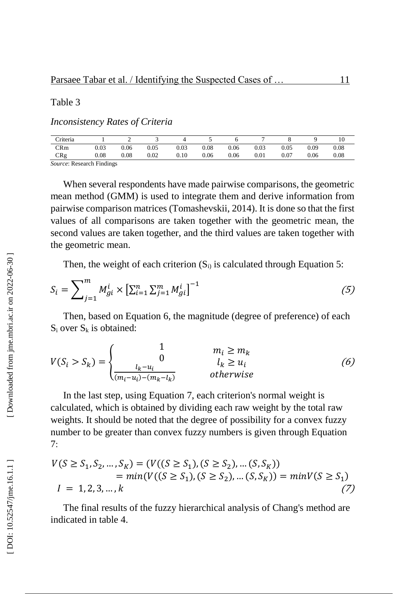*Inconsistency Rates of Criteria*

| Criteria    |      |           |      |      |      |      |           |      |      | 10   |
|-------------|------|-----------|------|------|------|------|-----------|------|------|------|
| CRm         | 0.03 | 0.06      | 0.05 | 0.03 | 0.08 | 0.06 | 0.03      | 0.05 | 0.09 | 0.08 |
| CRg         | 0.08 | $_{0.08}$ | 0.02 | 0.10 | 0.06 | 0.06 | $_{0.01}$ | 0.07 | 0.06 | 0.08 |
| $\sim$<br>- |      |           |      |      |      |      |           |      |      |      |

*Source*: Research Findings

When several respondents have made pairwise comparisons, the geometric mean method (GMM) is used to integrate them and derive information from pairwise comparison matrices (Tomashevskii, 2014). It is done so that the first values of all comparisons are taken together with the geometric mean, the second values are taken together, and the third values are taken together with the geometric mean.

Then, the weight of each criterion  $(S_i)$  is calculated through Equation 5:

$$
S_i = \sum_{j=1}^{m} M_{gi}^i \times \left[ \sum_{i=1}^{n} \sum_{j=1}^{m} M_{gi}^i \right]^{-1}
$$
 (5)

Then, based on Equation 6, the magnitude (degree of preference) of each  $S_i$  over  $S_k$  is obtained:

$$
V(S_i > S_k) = \begin{cases} 1 & m_i \ge m_k \\ 0 & l_k \ge u_i \\ \frac{l_k - u_i}{(m_i - u_i) - (m_k - l_k)} & otherwise \end{cases}
$$
 (6)

In the last step, using Equation 7, each criterion's normal weight is calculated, which is obtained by dividing each raw weight by the total raw weights. It should be noted that the degree of possibility for a convex fuzzy number to be greater than convex fuzzy numbers is given through Equation 7:

$$
V(S \ge S_1, S_2, ..., S_K) = (V((S \ge S_1), (S \ge S_2), ..., (S, S_K))
$$
  
=  $min(V((S \ge S_1), (S \ge S_2), ..., (S, S_K)) = minV(S \ge S_1)$   
 $I = 1, 2, 3, ..., k$  (7)

The final results of the fuzzy hierarchical analysis of Chang's method are indicated in table 4.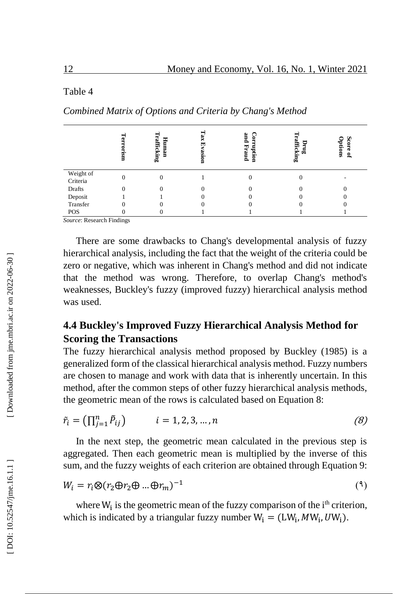|                       | ಸ<br>rorism | rafficking<br>⊞ատա | Tax<br>国<br>vasion | Ë<br>Ğп<br>ruption<br>Pusud | afficking<br>Drug | <b>Score</b><br>Options<br>2, |
|-----------------------|-------------|--------------------|--------------------|-----------------------------|-------------------|-------------------------------|
| Weight of<br>Criteria |             |                    |                    |                             |                   |                               |
| Drafts                |             |                    |                    |                             |                   |                               |
| Deposit               |             |                    |                    |                             |                   |                               |
| Transfer              |             |                    |                    |                             |                   |                               |
| POS                   |             |                    |                    |                             |                   |                               |

*Combined Matrix of Options and Criteria by Chang's Method*

*Source*: Research Findings

There are some drawbacks to Chang's developmental analysis of fuzzy hierarchical analysis, including the fact that the weight of the criteria could be zero or negative, which was inherent in Chang's method and did not indicate that the method was wrong. Therefore, to overlap Chang's method's weaknesses, Buckley's fuzzy (improved fuzzy) hierarchical analysis method was used .

# **4.4 Buckley's Improved Fuzzy Hierarchical Analysis Method for Scoring the Transactions**

The fuzzy hierarchical analysis method proposed by Buckley (1985) is a generalized form of the classical hierarchical analysis method. Fuzzy numbers are chosen to manage and work with data that is inherently uncertain. In this method, after the common steps of other fuzzy hierarchical analysis methods, the geometric mean of the rows is calculated based on Equation 8:

$$
\tilde{r}_i = (\prod_{j=1}^n \tilde{P}_{ij}) \qquad i = 1, 2, 3, ..., n \qquad (8)
$$

In the next step, the geometric mean calculated in the previous step is aggregated. Then each geometric mean is multiplied by the inverse of this sum, and the fuzzy weights of each criterion are obtained through Equation 9:

$$
W_i = r_i \otimes (r_2 \oplus r_2 \oplus \dots \oplus r_m)^{-1}
$$
 (1)

where  $W_i$  is the geometric mean of the fuzzy comparison of the  $i<sup>th</sup>$  criterion, which is indicated by a triangular fuzzy number  $W_i = (LW_i, MW_i, UW_i)$ .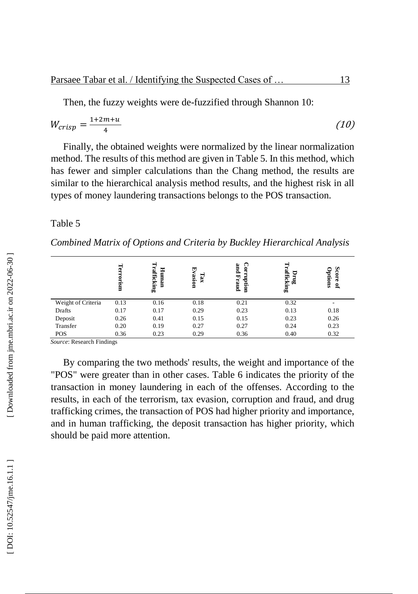Then, the fuzzy weights were de -fuzzified through Shannon 10:

$$
W_{crisp} = \frac{1 + 2m + u}{4} \tag{10}
$$

Finally, the obtained weights were normalized by the linear normalization method. The results of this method are given in Table 5. In this method, which has fewer and simpler calculations than the Chang method, the results are similar to the hierarchical analysis method results, and the highest risk in all types of money laundering transactions belongs to the POS transaction.

#### Table 5

*Combined Matrix of Options and Criteria by Buckley Hierarchical Analysis*

|                    | Γeι<br>rorism | Trafficking<br>Human | Evasion<br>Tax | E<br>Corr<br>Fraud<br>uopdn. | ₹<br>afficking<br>Drug | <b>Score</b><br>Options<br>鳥 |
|--------------------|---------------|----------------------|----------------|------------------------------|------------------------|------------------------------|
| Weight of Criteria | 0.13          | 0.16                 | 0.18           | 0.21                         | 0.32                   |                              |
| Drafts             | 0.17          | 0.17                 | 0.29           | 0.23                         | 0.13                   | 0.18                         |
| Deposit            | 0.26          | 0.41                 | 0.15           | 0.15                         | 0.23                   | 0.26                         |
| Transfer           | 0.20          | 0.19                 | 0.27           | 0.27                         | 0.24                   | 0.23                         |
| POS                | 0.36          | 0.23                 | 0.29           | 0.36                         | 0.40                   | 0.32                         |

*Source*: Research Findings

By comparing the two methods' results, the weight and importance of the "POS" were greater than in other cases. Table 6 indicates the priority of the transaction in money laundering in each of the offenses. According to the results, in each of the terrorism, tax evasion, corruption and fraud, and drug trafficking crimes, the transaction of POS had higher priority and importance, and in human trafficking, the deposit transaction has higher priority, which should be paid more attention.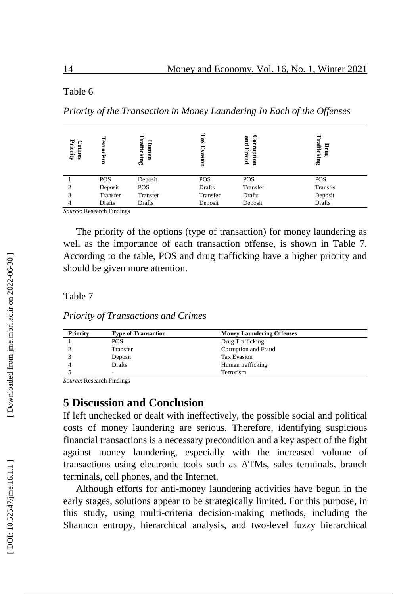*Priority of the Transaction in Money Laundering In Each of the Offenses*

| Tax<br>Trafficking<br>Ë<br>Corruption<br>Ter<br>宝<br>Human<br>Crimes<br>afficking<br>hiority<br>Evasion<br><b>COLISITI</b><br><b>Praud</b> | ▭<br>σā  |
|--------------------------------------------------------------------------------------------------------------------------------------------|----------|
| POS<br>POS<br>POS<br>POS<br>Deposit                                                                                                        |          |
| POS<br>Drafts<br>Transfer<br>Deposit                                                                                                       | Transfer |
| Transfer<br>Transfer<br>Drafts<br>Transfer<br>3                                                                                            | Deposit  |
| Drafts<br>Deposit<br>Drafts<br>Deposit<br>$\sim$<br>$\sim$<br>$\sim$ $ \sim$ $\sim$                                                        | Drafts   |

*Source*: Research Findings

The priority of the options (type of transaction) for money laundering as well as the importance of each transaction offense, is shown in Table 7. According to the table, POS and drug trafficking have a higher priority and should be given more attention.

#### Table 7

*Priority of Transactions and Crimes*

| <b>Priority</b> | <b>Type of Transaction</b> | <b>Money Laundering Offenses</b> |  |
|-----------------|----------------------------|----------------------------------|--|
|                 | <b>POS</b>                 | Drug Trafficking                 |  |
|                 | Transfer                   | Corruption and Fraud             |  |
|                 | Deposit                    | <b>Tax Evasion</b>               |  |
| 4               | Drafts                     | Human trafficking                |  |
|                 | -                          | Terrorism                        |  |

*Source*: Research Findings

### **5 Discussion and Conclusion**

If left unchecked or dealt with ineffectively, the possible social and political costs of money laundering are serious. Therefore, identifying suspicious financial transactions is a necessary precondition and a key aspect of the fight against money laundering, especially with the increased volume of transactions using electronic tools such as ATMs, sales terminals, branch terminals, cell phones, and the Internet.

Although efforts for anti -money laundering activities have begun in the early stages, solutions appear to be strategically limited. For this purpose, in this study, using multi -criteria decision -making methods, including the Shannon entropy, hierarchical analysis, and two -level fuzzy hierarchical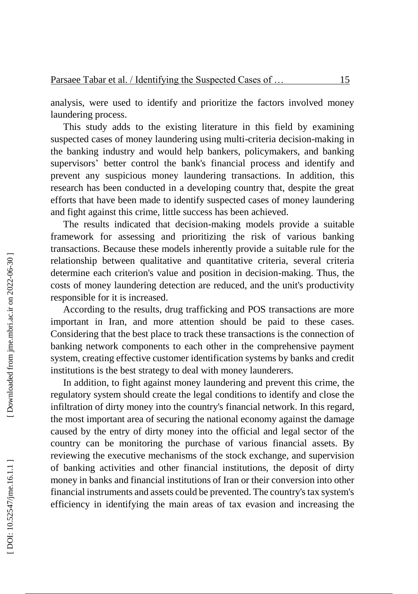analysis, were used to identify and prioritize the factors involved money laundering process.

This study adds to the existing literature in this field by examining suspected cases of money laundering using multi -criteria decision -making in the banking industry and would help bankers, policymakers, and banking supervisors ' better control the bank's financial process and identify and prevent any suspicious money laundering transactions. In addition, this research has been conducted in a developing country that, despite the great efforts that have been made to identify suspected cases of money laundering and fight against this crime, little success has been achieved.

The results indicated that decision -making models provide a suitable framework for assessing and prioritizing the risk of various banking transactions. Because these models inherently provide a suitable rule for the relationship between qualitative and quantitative criteria, several criteria determine each criterion's value and position in decision -making. Thus, the costs of money laundering detection are reduced, and the unit's productivity responsible for it is increased.

According to the results, drug trafficking and POS transactions are more important in Iran, and more attention should be paid to these cases. Considering that the best place to track these transactions is the connection of banking network components to each other in the comprehensive payment system, creating effective customer identification systems by banks and credit institutions is the best strategy to deal with money launderers.

In addition, to fight against money laundering and prevent this crime, the regulatory system should create the legal conditions to identify and close the infiltration of dirty money into the country's financial network . In this regard, the most important area of securing the national economy against the damage caused by the entry of dirty money into the official and legal sector of the country can be monitoring the purchase of various financial assets. By reviewing the executive mechanisms of the stock exchange, and supervision of banking activities and other financial institutions, the deposit of dirty money in banks and financial institutions of Iran or their conversion into other financial instruments and assets could be prevented. The country's tax system's efficiency in identifying the main areas of tax evasion and increasing the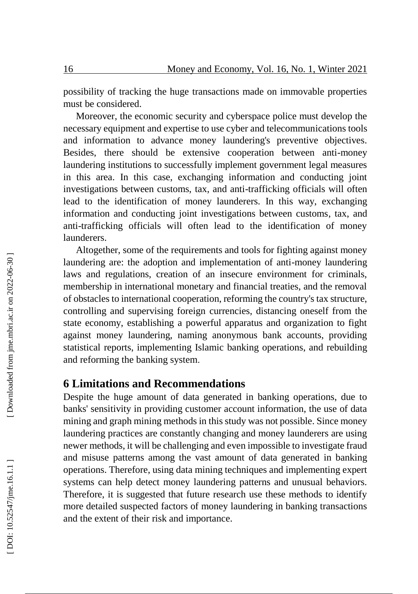possibility of tracking the huge transactions made on immovable properties must be considered.

Moreover, the economic security and cyberspace police must develop the necessary equipment and expertise to use cyber and telecommunications tools and information to advance money laundering's preventive objectives. Besides, there should be extensive cooperation between anti -money laundering institutions to successfully implement government legal measures in this area. In this case, exchanging information and conducting joint investigations between customs, tax, and anti -trafficking officials will often lead to the identification of money launderers. In this way, exchanging information and conducting joint investigations between customs, tax, and anti -trafficking officials will often lead to the identification of money launderers.

Altogether, some of the requirements and tools for fighting against money laundering are: the adoption and implementation of anti -money laundering laws and regulations, creation of an insecure environment for criminals, membership in international monetary and financial treaties, and the removal of obstacles to international cooperation, reforming the country's tax structure, controlling and supervising foreign currencies, distancing oneself from the state economy, establishing a powerful apparatus and organization to fight against money laundering, naming anonymous bank accounts, providing statistical reports, implementing Islamic banking operations, and rebuilding and reforming the banking system .

### **6 Limitations and Recommendations**

Despite the huge amount of data generated in banking operations, due to banks' sensitivity in providing customer account information, the use of data mining and graph mining methods in this study was not possible. Since money laundering practices are constantly changing and money launderers are using newer methods, it will be challenging and even impossible to investigate fraud and misuse patterns among the vast amount of data generated in banking operations. Therefore, using data mining techniques and implementing expert systems can help detect money laundering patterns and unusual behaviors. Therefore, it is suggested that future research use these methods to identify more detailed suspected factors of money laundering in banking transactions and the extent of their risk and importance.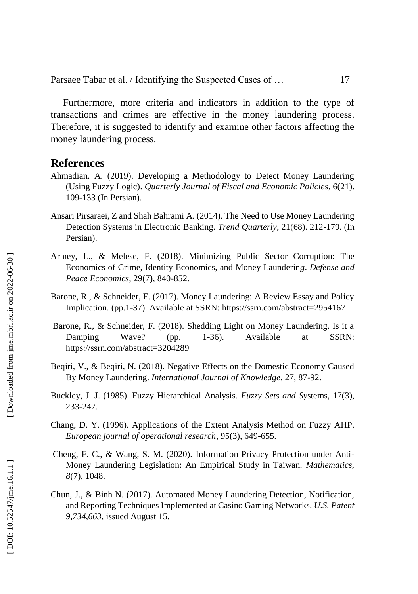Furthermore, more criteria and indicators in addition to the type of transactions and crimes are effective in the money laundering process . Therefore, it is suggested to identify and examine other factors affecting the money laundering process.

### **References**

- Ahmadian. A. (2019). [Developing a Methodology to Detect Money Laundering](http://qjfep.ir/article-1-853-en.pdf)  [\(Using Fuzzy Logic\).](http://qjfep.ir/article-1-853-en.pdf) *Quarterly Journal of Fiscal and Economic Policies*, 6(21). 109 -133 (In Persian).
- Ansari Pirsaraei, Z and Shah Bahrami A. (2014). The Need to Use Money Laundering Detection Systems in Electronic Banking. *Trend Quarterly*, 21(68). 212 -179. (In Persian).
- Armey, L., & Melese, F. (2018). Minimizing Public Sector Corruption: The Economics of Crime, Identity Economics, and Money Launderin *g*. *Defense and Peace Economics*, 29(7), 840 -852.
- Barone, R., & Schneider, F. (2017). Money Laundering: A Review Essay and Policy Implication. (pp. 1 -37). Available at SSRN: https://ssrn.com/abstract=2954167
- Barone, R., & Schneider, F. (2018). Shedding Light on Money Laundering. Is it a Damping Wave? (pp. 1-36). Available at SSRN: https://ssrn.com/abstract=3204289
- Beqiri, V., & Beqiri, N. (2018). Negative Effects on the Domestic Economy Caused By Money Laundering. *International Journal of Knowledge*, 27, 87 -92.
- Buckley, J. J. (1985). Fuzzy Hierarchical Analysis*. Fuzzy Sets and Sy*stems, 17(3), 233 -247.
- Chang, D. Y. (1996). Applications of the Extent Analysis Method on Fuzzy AHP . *European journal of operational research*, 95(3), 649 -655.
- Cheng, F. C., & Wang, S. M. (2020). Information Privacy Protection under Anti Money Laundering Legislation: An Empirical Study in Taiwan. *Mathematics* , *8*(7), 1048.
- Chun, J., & Binh N . (2017). Automated Money Laundering Detection, Notification, and Reporting Techniques Implemented at Casino Gaming Networks. *U.S. Patent 9,734,663*, issued August 15.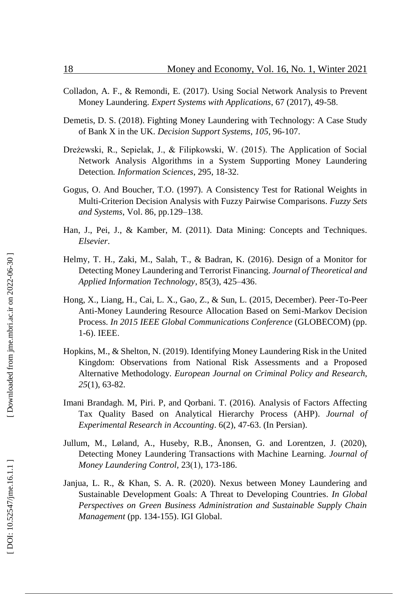- Colladon, A. F., & Remondi, E. (2017). Using Social Network Analysis to Prevent Money Laundering. *Expert Systems with Applications*, 67 (2017), 49 -58 .
- Demetis, D. S. (2018). Fighting Money Laundering with Technology: A Case Study of Bank X in the UK. *Decision Support Systems*, *<sup>105</sup>*, 96-107.
- Dreżewski, R., Sepielak, J., & Filipkowski, W. (2015). The Application of Social Network Analysis Algorithms in a System Supporting Money Laundering Detection*. Information Sciences*, 295, 18 -32 .
- Gogus, O . And Boucher, T.O . (1997). A Consistency Test for Rational Weights in Multi -Criterion Decision Analysis with Fuzzy Pairwise Comparisons . *Fuzzy Sets and Systems*, Vol . 86, pp.129 –138.
- Han, J., Pei, J., & Kamber, M. (2011). Data Mining: Concepts and Techniques. *Elsevier* .
- Helmy, T. H., Zaki, M., Salah, T., & Badran, K. (2016). Design of a Monitor for Detecting Money Laundering and Terrorist Financing. *Journal of Theoretical and*  Applied Information Technology, 85(3), 425-436.
- Hong, X., Liang, H., Cai, L. X., Gao, Z., & Sun, L. (2015, December). Peer-To-Peer Anti -Money Laundering Resource Allocation Based on Semi -Markov Decision Process. *In 2015 IEEE Global Communications Conference* (GLOBECOM) (pp. 1-6). IEEE.
- Hopkins, M., & Shelton, N. (2019). Identifying Money Laundering Risk in the United Kingdom: Observations from National Risk Assessments and a Proposed Alternative Methodology. *European Journal on Criminal Policy and Research* , *25*(1), 63 -82.
- Imani Brandagh. M, Piri. P, and Qorbani. T. (2016). Analysis of Factors Affecting Tax Quality Based on Analytical Hierarchy Process (AHP). *Journal of Experimental Research in Accounting*. 6(2), 47 -63. (In Persian).
- Jullum, M., Løland, A., Huseby, R.B., Ånonsen, G. and Lorentzen, J. (2020), Detecting Money Laundering Transactions with Machine Learning. *Journal of*  Money Laundering Control, 23(1), 173-186.
- Janjua, L. R., & Khan, S. A. R. (2020). Nexus between Money Laundering and Sustainable Development Goals: A Threat to Developing Countries. *In Global Perspectives on Green Business Administration and Sustainable Supply Chain Management* (pp. 134 -155). IGI Global.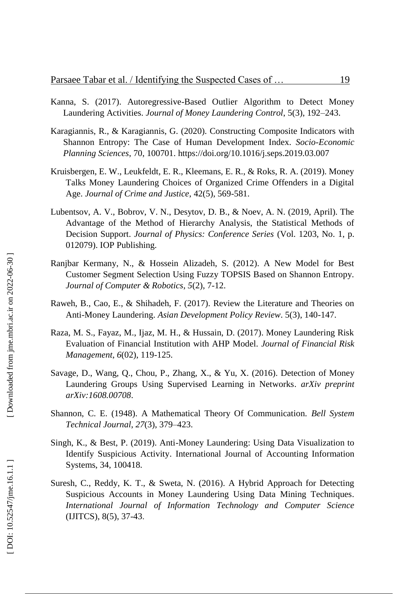- Kanna, S. (2017). Autoregressive -Based Outlier Algorithm to Detect Money Laundering Activities. *Journal of Money Laundering Control*, 5(3), 192 –243.
- Karagiannis, R., & Karagiannis, G. (2020). Constructing Composite Indicators with Shannon Entropy: The Case of Human Development Index. *Socio-Economic Planning Sciences*, 70, 100701. https://doi.org/10.1016/j.seps.2019.03.007
- Kruisbergen, E. W., Leukfeldt, E. R., Kleemans, E. R., & Roks, R. A. (2019). Money Talks Money Laundering Choices of Organized Crime Offenders in a Digital Age. *Journal of Crime and Justice*, 42(5), 569 -581.
- Lubentsov, A. V., Bobrov, V. N., Desytov, D. B., & Noev, A. N. (2019, April). The Advantage of the Method of Hierarchy Analysis, the Statistical Methods of Decision Support. *Journal of Physics: Conference Series* (Vol. 1203, No. 1, p. 012079). IOP Publishing.
- Ranjbar Kermany, N., & Hossein Alizadeh, S. (2012). A New Model for Best Customer Segment Selection Using Fuzzy TOPSIS Based on Shannon Entropy. *Journal of Computer & Robotics* , *5*(2), 7 -12.
- Raweh, B., Cao, E., & Shihadeh, F. (2017). Review the Literature and Theories on Anti -Money Laundering. *Asian Development Policy Review*. 5(3), 140 -147.
- Raza, M. S., Fayaz, M., Ijaz, M. H., & Hussain, D. (2017). Money Laundering Risk Evaluation of Financial Institution with AHP Model. *Journal of Financial Risk Management* , *6*(02), 119 -125.
- Savage, D., Wang, Q., Chou, P., Zhang, X., & Yu, X. (2016). Detection of Money Laundering Groups Using Supervised Learning in Networks . *arXiv preprint arXiv:1608.00708* .
- Shannon, C. E. (1948). A Mathematical Theory Of Communication. *Bell System Technical Journal*, *27*(3), 379 –423.
- Singh, K., & Best, P. (2019). Anti -Money Laundering: Using Data Visualization to Identify Suspicious Activity. International Journal of Accounting Information Systems, 34, 100418.
- Suresh, C., Reddy, K. T., & Sweta, N. (2016). A Hybrid Approach for Detecting Suspicious Accounts in Money Laundering Using Data Mining Techniques. *International Journal of Information Technology and Computer Science* (IJITCS), 8(5), 37 -43 .